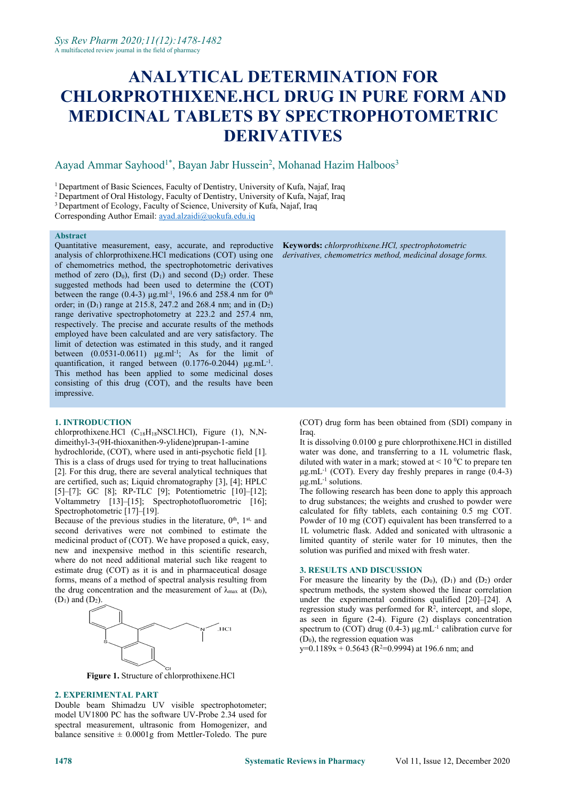# **ANALYTICAL DETERMINATION FOR CHLORPROTHIXENE.HCL DRUG IN PURE FORM AND MEDICINAL TABLETS BY SPECTROPHOTOMETRIC DERIVATIVES**

#### Aayad Ammar Sayhood<sup>1\*</sup>, Bayan Jabr Hussein<sup>2</sup>, Mohanad Hazim Halboos<sup>3</sup> 3

<sup>1</sup> Department of Basic Sciences, Faculty of Dentistry, University of Kufa, Najaf, Iraq

<sup>2</sup> Department of Oral Histology, Faculty of Dentistry, University of Kufa, Najaf, Iraq

<sup>3</sup> Department of Ecology, Faculty of Science, University of Kufa, Najaf, Iraq

Corresponding Author Email: [ayad.alzaidi@uokufa.edu.iq](mailto:ayad.alzaidi@uokufa.edu.iq)

#### **Abstract**

Quantitative measurement, easy, accurate, and reproductive analysis of chlorprothixene.HCl medications (COT) using one of chemometrics method, the spectrophotometric derivatives method of zero  $(D_0)$ , first  $(D_1)$  and second  $(D_2)$  order. These suggested methods had been used to determine the (COT) between the range (0.4-3)  $\mu$ g.ml<sup>-1</sup>, 196.6 and 258.4 nm for 0<sup>th</sup> the contract of the contract of the contract of the contract of the contract of the contract of the contract of the contract of the contract of the contract of the contract of the contract of the contract of the contract o order; in  $(D_1)$  range at 215.8, 247.2 and 268.4 nm; and in  $(D_2)$ range derivative spectrophotometry at 223.2 and 257.4 nm, respectively. The precise and accurate results of the methods employed have been calculated and are very satisfactory. The limit of detection was estimated in this study, and it ranged between  $(0.0531-0.0611)$   $\mu$ g.ml<sup>-1</sup>; As for the limit of quantification, it ranged between  $(0.1776 - 0.2044)$   $\mu$ g.mL<sup>-1</sup>. . This method has been applied to some medicinal doses consisting of this drug (COT), and the results have been impressive.

#### **1. INTRODUCTION**

chlorprothixene.HCl  $(C_{18}H_{18}NSCl.HCl)$ , Figure (1), N,Ndimeithyl-3-(9H-thioxanithen-9-ylidene)prupan-1-amine

hydrochloride, (COT), where used in anti-psychotic field [1]. This is a class of drugs used for trying to treat hallucinations [2]. For this drug, there are several analytical techniques that are certified, such as; Liquid chromatography [3], [4]; HPLC [5]–[7]; GC [8]; RP-TLC [9]; Potentiometric [10]–[12]; Voltammetry [13]–[15]; Spectrophotofluorometric [16]; Spectrophotometric [17]–[19].

Because of the previous studies in the literature,  $0<sup>th</sup>$ ,  $1<sup>st</sup>$ , and Powder second derivatives were not combined to estimate the medicinal product of (COT). We have proposed a quick, easy, new and inexpensive method in this scientific research, where do not need additional material such like reagent to estimate drug (COT) as it is and in pharmaceutical dosage forms, means of a method of spectral analysis resulting from the drug concentration and the measurement of  $\lambda_{\text{max}}$  at (D<sub>0</sub>),  $(D_1)$  and  $(D_2)$ .



**Figure 1.** Structure of chlorprothixene.HCl

#### **2. EXPERIMENTAL PART**

Double beam Shimadzu UV visible spectrophotometer; model UV1800 PC has the software UV-Probe 2.34 used for spectral measurement, ultrasonic from Homogenizer, and balance sensitive  $\pm$  0.0001g from Mettler-Toledo. The pure **Keywords:** *chlorprothixene.HCl, spectrophotometric derivatives, chemometrics method, medicinal dosage forms.*

(COT) drug form has been obtained from (SDI) company in Iraq.

It is dissolving 0.0100 g pure chlorprothixene.HCl in distilled water was done, and transferring to a 1L volumetric flask, diluted with water in a mark; stowed at  $\leq 10$  °C to prepare ten μg.mL -1 (COT). Every day freshly prepares in range (0.4-3)  $\mu$ g.mL<sup>-1</sup> solutions.

st, and Powder of 10 mg (COT) equivalent has been transferred to a The following research has been done to apply this approach to drug substances; the weights and crushed to powder were calculated for fifty tablets, each containing 0.5 mg COT. 1L volumetric flask. Added and sonicated with ultrasonic a limited quantity of sterile water for 10 minutes, then the solution was purified and mixed with fresh water.

### **3. RESULTS AND DISCUSSION**

For measure the linearity by the  $(D_0)$ ,  $(D_1)$  and  $(D_2)$  order spectrum methods, the system showed the linear correlation under the experimental conditions qualified [20]–[24]. A regression study was performed for R 2 , intercept, and slope, as seen in figure (2-4). Figure (2) displays concentration spectrum to (COT) drug (0.4-3)  $\mu$ g.mL<sup>-1</sup> calibration curve for  $(D<sub>0</sub>)$ , the regression equation was

y=0.1189x + 0.5643 (R <sup>2</sup>=0.9994) at 196.6 nm; and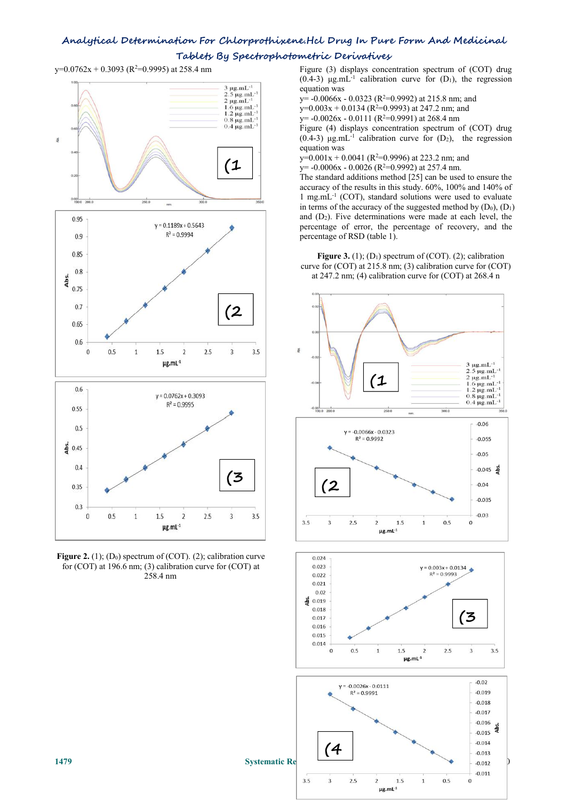$y=0.0762x + 0.3093$  (R<sup>2</sup>=0.9995) at 258.4 nm Figure (3)



**Figure 2.** (1); (D<sub>0</sub>) spectrum of (COT). (2); calibration curve  $\sqrt{0.024}$ for (COT) at 196.6 nm; (3) calibration curve for (COT) at 258.4 nm

Figure (3) displays concentration spectrum of (COT) drug (0.4-3)  $\mu$ g.mL<sup>-1</sup> calibration curve for (D<sub>1</sub>), the regression equation was

y= -0.0066x - 0.0323 (R <sup>2</sup>=0.9992) at 215.8 nm; and

 $y=0.003x + 0.0134$  (R<sup>2</sup>=0.9993) at 247.2 nm; and

 $y=-0.0026x - 0.0111$  (R<sup>2</sup>=0.9991) at 268.4 nm

Figure (4) displays concentration spectrum of (COT) drug (0.4-3)  $\mu$ g.mL<sup>-1</sup> calibration curve for (D<sub>2</sub>), the regression equation was

 $y=0.001x + 0.0041$  (R<sup>2</sup>=0.9996) at 223.2 nm; and  $(1$   $y = -0.0006x - 0.0026 (R<sup>2</sup>=0.9992)$  at 257.4 nm.

The standard additions method [25] can be used to ensure the accuracy of the results in this study.60%, 100% and 140% of 1 mg.mL -1 (COT), standard solutions were used to evaluate in terms of the accuracy of the suggested method by  $(D_0)$ ,  $(D_1)$ and  $(D_2)$ . Five determinations were made at each level, the percentage of error, the percentage of recovery, and the percentage of RSD (table 1).

**Figure 3.** (1):  $(D_1)$  spectrum of  $(COT)$ . (2): calibration curve for (COT) at 215.8 nm; (3) calibration curve for (COT) at 247.2 nm; (4) calibration curve for (COT) at 268.4 n





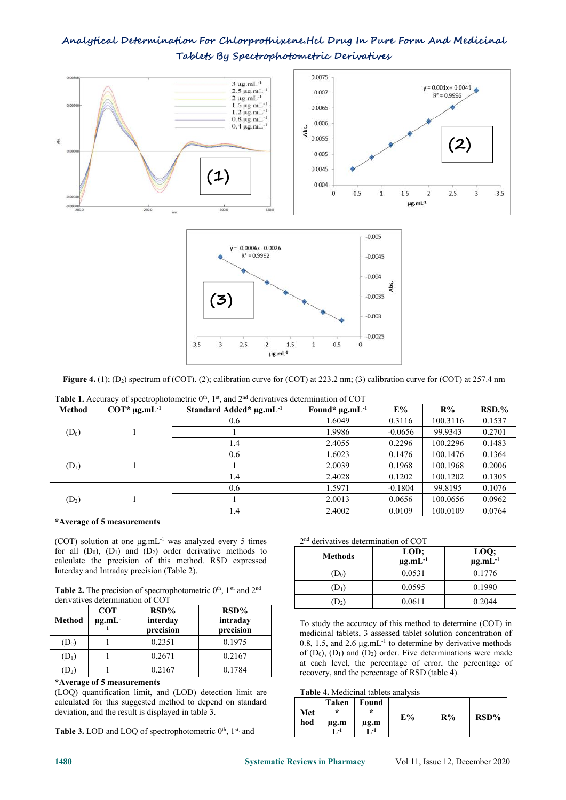



 $\mu$ g.mL<sup>-1</sup>

 $1.5$ 

 $\overline{1}$ 

 $0.5$ 

| $\mathbf{m}$ and $\mathbf{a}$ and $\mathbf{a}$ and $\mathbf{a}$ and $\mathbf{a}$ and $\mathbf{a}$ and $\mathbf{a}$ and $\mathbf{a}$ and $\mathbf{a}$ and $\mathbf{a}$ and $\mathbf{a}$ and $\mathbf{a}$ and $\mathbf{a}$ and $\mathbf{a}$ and $\mathbf{a}$ and $\mathbf{a}$ and $\mathbf{a}$ and |  |  |  |  |
|--------------------------------------------------------------------------------------------------------------------------------------------------------------------------------------------------------------------------------------------------------------------------------------------------|--|--|--|--|

 $\overline{3}$ 

 $2.5$ 

 $\overline{2}$ 

 $3.5$ 

| <b>Table 1.</b> Accuracy of spectrophotometric $0^{\text{th}}$ , 1st, and $2^{\text{nd}}$ derivatives determination of COT |                             |                                     |                                 |           |          |        |  |  |
|----------------------------------------------------------------------------------------------------------------------------|-----------------------------|-------------------------------------|---------------------------------|-----------|----------|--------|--|--|
| Method                                                                                                                     | $COT^*$ µg.mL <sup>-1</sup> | Standard Added* µg.mL <sup>-1</sup> | Found* $\mu$ g.mL <sup>-1</sup> | E%        | $R\%$    | RSD.%  |  |  |
|                                                                                                                            |                             | 0.6                                 | 1.6049                          | 0.3116    | 100.3116 | 0.1537 |  |  |
| $(D_0)$                                                                                                                    |                             |                                     | 1.9986                          | $-0.0656$ | 99.9343  | 0.2701 |  |  |
|                                                                                                                            |                             | 1.4                                 | 2.4055                          | 0.2296    | 100.2296 | 0.1483 |  |  |
|                                                                                                                            |                             | 0.6                                 | 1.6023                          | 0.1476    | 100.1476 | 0.1364 |  |  |
| $(D_1)$                                                                                                                    |                             |                                     | 2.0039                          | 0.1968    | 100.1968 | 0.2006 |  |  |
|                                                                                                                            |                             | 1.4                                 | 2.4028                          | 0.1202    | 100.1202 | 0.1305 |  |  |
|                                                                                                                            |                             | 0.6                                 | 1.5971                          | $-0.1804$ | 99.8195  | 0.1076 |  |  |
| $(D_2)$                                                                                                                    |                             |                                     | 2.0013                          | 0.0656    | 100.0656 | 0.0962 |  |  |
|                                                                                                                            |                             | 1.4                                 | 2.4002                          | 0.0109    | 100.0109 | 0.0764 |  |  |

**\*Average of 5 measurements**

(COT) solution at one  $\mu$ g.mL<sup>-1</sup> was analyzed every 5 times 2<sup>nd</sup> deriver for all  $(D_0)$ ,  $(D_1)$  and  $(D_2)$  order derivative methods to calculate the precision of this method. RSD expressed Interday and Intraday precision (Table 2).

**Table 2.** The precision of spectrophotometric  $0<sup>th</sup>$ ,  $1<sup>st</sup>$ , and  $2<sup>nd</sup>$ derivatives determination of COT

|         |                                  |                                  |                                  | .                                                                                         |  |
|---------|----------------------------------|----------------------------------|----------------------------------|-------------------------------------------------------------------------------------------|--|
| Method  | <b>COT</b><br>$\mu$ g.mL $\cdot$ | $RSD\%$<br>interday<br>precision | $RSD\%$<br>intraday<br>precision | To study the accuracy of this m                                                           |  |
| $(D_0)$ |                                  | 0.2351                           | 0.1975                           | medicinal tablets, 3 assessed table<br>0.8, 1.5, and 2.6 $\mu$ g.mL <sup>-1</sup> to dete |  |
| $(D_1)$ |                                  | 0.2671                           | 0.2167                           | of $(D_0)$ , $(D_1)$ and $(D_2)$ order. Fi<br>at each level, the percentage               |  |
| $(D_2)$ |                                  | 0.2167                           | 0.1784                           | recovery, and the percentage of                                                           |  |

#### **\*Average of 5 measurements**

(LOQ) quantification limit, and (LOD) detection limit are calculated for this suggested method to depend on standard deviation, and the result is displayed in table 3.

**Table 3.** LOD and LOQ of spectrophotometric 0<sup>th</sup>, 1<sup>st,</sup> and  $\qquad \qquad$ 

#### 2 nd derivatives determination of COT

 $-0.003$ 

 $-0.0025$ 

 $\overline{0}$ 

| <b>Methods</b>   | LOD;<br>$\mu$ g.mL $^{-1}$ | LOQ;<br>$\mu$ g.m $\overline{L}^{-1}$ |
|------------------|----------------------------|---------------------------------------|
| $\mathrm{(D_0)}$ | 0.0531                     | 0.1776                                |
| $(D_1)$          | 0.0595                     | 0.1990                                |
| $(D_2)$          | 0.0611                     | 0.2044                                |

**intraday** To study the accuracy of this method to determine (COT) in **precision** medicinal tablets, 3 assessed tablet solution concentration of  $(D_0)$  1 0.2351 0.1975 0.8, 1.5, and 2.6  $\mu$ g.mL<sup>-1</sup> to determine by derivative methods of  $(D_0)$ ,  $(D_1)$  and  $(D_2)$  order. Five determinations were made at each level, the percentage of error, the percentage of recovery, and the percentage of RSD (table 4).

#### **Table 4.** Medicinal tablets analysis

|  | R% | E% | Found<br>$\star$<br>$\mu$ g.m<br>-1 | Taken<br>$\ast$<br>$\mu$ g.m<br>$T - 1$ | Met<br>hod |
|--|----|----|-------------------------------------|-----------------------------------------|------------|
|--|----|----|-------------------------------------|-----------------------------------------|------------|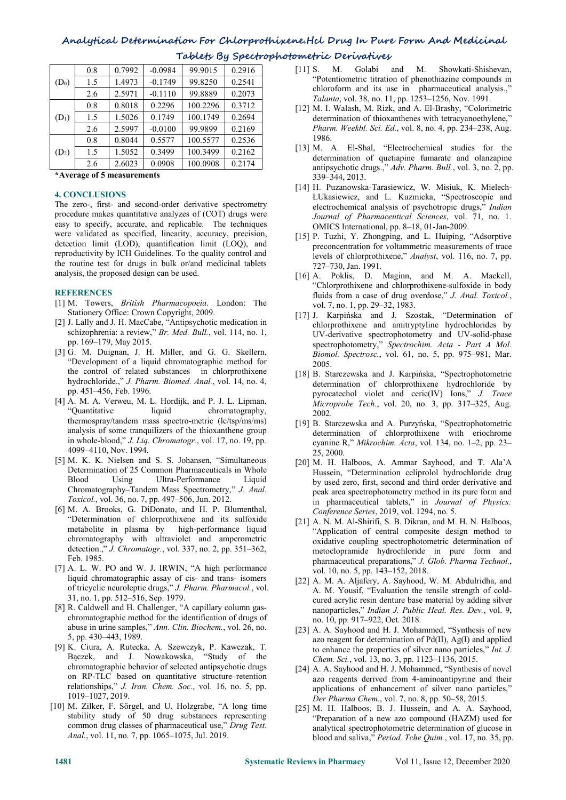|         | 0.8 | 0.7992 | $-0.0984$ | 99.9015  | 0.2916 | Golabi<br>Showkati-Shishevan,<br>and M.<br>$[11]$ S.<br>М.                                                          |  |  |  |  |  |
|---------|-----|--------|-----------|----------|--------|---------------------------------------------------------------------------------------------------------------------|--|--|--|--|--|
| $(D_0)$ | 1.5 | .4973  | $-0.1749$ | 99.8250  | 0.2541 | "Potentiometric titration of phenothiazine compounds in                                                             |  |  |  |  |  |
|         | 2.6 | 2.5971 | $-0.1110$ | 99.8889  | 0.2073 | chloroform and its use in pharmaceutical analysis.,"<br><i>Talanta</i> , vol. 38, no. 11, pp. 1253–1256, Nov. 1991. |  |  |  |  |  |
|         | 0.8 | 0.8018 | 0.2296    | 100.2296 | 0.3712 | [12] M. I. Walash, M. Rizk, and A. El-Brashy, "Colorimetric                                                         |  |  |  |  |  |
| $(D_1)$ | . 5 | .5026  | 0.1749    | 100.1749 | 0.2694 | determination of thioxanthenes with tetracyanoethylene,"                                                            |  |  |  |  |  |
|         | 2.6 | 2.5997 | $-0.0100$ | 99.9899  | 0.2169 | <i>Pharm. Weekbl. Sci. Ed., vol. 8, no. 4, pp. 234–238, Aug.</i>                                                    |  |  |  |  |  |
|         | 0.8 | 0.8044 | 0.5577    | 100.5577 | 0.2536 | 1986.                                                                                                               |  |  |  |  |  |
| $(D_2)$ | 1.5 | .5052  | 0.3499    | 100.3499 | 0.2162 | [13] M. A. El-Shal, "Electrochemical studies for the<br>determination of quetiapine fumarate and olanzapine         |  |  |  |  |  |
|         | 2.6 | 2.6023 | 0.0908    | 100.0908 | 0.2174 | antinsychotic drugs " Adv Pharm Bull you 3 no 2 nn                                                                  |  |  |  |  |  |

**\*Average of 5 measurements**

#### **4. CONCLUSIONS**

The zero-, first- and second-order derivative spectrometry procedure makes quantitative analyzes of (COT) drugs were easy to specify, accurate, and replicable. The techniques were validated as specified, linearity, accuracy, precision, detection limit (LOD), quantification limit (LOQ), and reproductivity by ICH Guidelines. To the quality control and the routine test for drugs in bulk or/and medicinal tablets analysis, the proposed design can be used.

#### **REFERENCES**

- [1] M. Towers, *British Pharmacopoeia*. London: The Stationery Office: Crown Copyright, 2009.
- [2] J. Lally and J. H. MacCabe, "Antipsychotic medication in schizophrenia: a review," *Br. Med. Bull.*, vol. 114, no. 1, pp. 169–179, May 2015.
- [3] G. M. Duignan, J. H. Miller, and G. G. Skellern, "Development of a liquid chromatographic method for the control of related substances in chlorprothixene hydrochloride.," *J. Pharm. Biomed. Anal.*, vol. 14, no. 4, pp. 451–456, Feb. 1996.
- [4] A. M. A. Verweu, M. L. Hordijk, and P. J. L. Lipman, "Quantitative liquid chromatography, thermospray/tandem mass spectro-metric (lc/tsp/ms/ms) analysis of some tranquilizers of the thioxanthene group in whole-blood," *J. Liq. Chromatogr.*, vol. 17, no. 19, pp. 4099–4110, Nov. 1994.
- [5] M. K. K. Nielsen and S. S. Johansen, "Simultaneous Determination of 25 Common Pharmaceuticals in Whole Blood Using Ultra-Performance Liquid Chromatography–Tandem Mass Spectrometry," *J. Anal. Toxicol.*, vol. 36, no. 7, pp. 497–506, Jun. 2012.
- [6] M. A. Brooks, G. DiDonato, and H. P. Blumenthal, "Determination of chlorprothixene and its sulfoxide metabolite in plasma by high-performance liquid chromatography with ultraviolet and amperometric detection.," *J. Chromatogr.*, vol. 337, no. 2, pp. 351–362, Feb. 1985.
- [7] A. L. W. PO and W. J. IRWIN, "A high performance liquid chromatographic assay of cis- and trans- isomers of tricyclic neuroleptic drugs," *J. Pharm. Pharmacol.*, vol. 31, no. 1, pp. 512–516, Sep. 1979.
- [8] R. Caldwell and H. Challenger, "A capillary column gas chromatographic method for the identification of drugs of abuse in urine samples," *Ann. Clin. Biochem.*, vol. 26, no. 5, pp. 430–443, 1989.
- [9] K. Ciura, A. Rutecka, A. Szewczyk, P. Kawczak, T. Bączek, and J. Nowakowska, "Study of the chromatographic behavior of selected antipsychotic drugs on RP-TLC based on quantitative structure–retention relationships," *J. Iran.Chem. Soc.*, vol. 16, no. 5, pp. 1019–1027, 2019.
- [10] M. Zilker, F. Sörgel, and U. Holzgrabe, "A long time stability study of 50 drug substances representing common drug classes of pharmaceutical use," *Drug Test. Anal.*, vol. 11, no. 7, pp. 1065–1075, Jul. 2019.
- [11] S. M. Golabi and M. Showkati-Shishevan, "Potentiometric titration of phenothiazine compounds in chloroform and its use in pharmaceutical analysis.," *Talanta*, vol. 38, no. 11, pp. 1253–1256, Nov. 1991.
- determination of thioxanthenes with tetracyanoethylene," *Pharm. Weekbl. Sci. Ed.*, vol. 8, no. 4, pp. 234–238, Aug. 1986.
- [13] M.A. El-Shal, "Electrochemical studies for the determination of quetiapine fumarate and olanzapine antipsychotic drugs.," *Adv. Pharm. Bull.*, vol. 3, no. 2, pp. 339–344, 2013.
- [14] H. Puzanowska-Tarasiewicz, W. Misiuk, K. Mielech- ŁUkasiewicz, and L. Kuzmicka, "Spectroscopic and electrochemical analysis of psychotropic drugs," *Indian Journal of Pharmaceutical Sciences*, vol. 71, no. 1. OMICS International, pp. 8–18, 01-Jan-2009.
- [15] P. Tuzhi, Y. Zhongping, and L. Huiping, "Adsorptive preconcentration for voltammetric measurements of trace levels of chlorprothixene," *Analyst*, vol. 116, no. 7, pp. 727–730, Jan. 1991.
- [16] A. Poklis, D. Maginn, and M. A. Mackell, "Chlorprothixene and chlorprothixene-sulfoxide in body fluids from a case of drug overdose," *J. Anal. Toxicol.*, vol. 7, no. 1, pp. 29–32, 1983.
- [17] J. Karpińska and J. Szostak, "Determination of chlorprothixene and amitryptyline hydrochlorides by UV-derivative spectrophotometry and UV-solid-phase spectrophotometry," *Spectrochim. Acta - Part A Mol. Biomol. Spectrosc.*, vol. 61, no. 5, pp. 975–981, Mar. 2005.
- [18] B. Starczewska and J. Karpińska, "Spectrophotometric determination of chlorprothixene hydrochloride by pyrocatechol violet and ceric(IV) Ions," *J. Trace Microprobe Tech.*, vol. 20, no. 3, pp. 317–325, Aug. 2002.
- [19] B. Starczewska and A. Purzyńska, "Spectrophotometric determination of chlorprothixene with eriochrome cyanine R," *Mikrochim. Acta*, vol. 134, no. 1–2, pp. 23– 25, 2000.
- [20] M.H. Halboos, A. Ammar Sayhood, and T. Ala'A Hussein, "Determination celiprolol hydrochloride drug by used zero, first, second and third order derivative and peak area spectrophotometry method in its pure form and in pharmaceutical tablets," in *Journal of Physics: Conference Series*, 2019, vol. 1294, no. 5.
- [21] A. N. M. Al-Shirifi, S. B. Dikran, and M. H. N. Halboos, "Application of central composite design method to oxidative coupling spectrophotometric determination of metoclopramide hydrochloride in pure form and pharmaceutical preparations," *J. Glob.Pharma Technol.*, vol. 10, no. 5, pp. 143–152, 2018.
- [22] A. M. A. Aljafery, A. Sayhood, W. M. Abdulridha, and A. M. Yousif, "Evaluation the tensile strength of cold cured acrylic resin denture base material by adding silver nanoparticles," *Indian J. Public Heal. Res. Dev.*, vol. 9, no. 10, pp. 917–922, Oct. 2018.
- [23] A. A. Sayhood and H. J. Mohammed, "Synthesis of new azo reagent for determination of Pd(II), Ag(I) and applied to enhance the properties of silver nano particles," *Int. J. Chem. Sci.*, vol. 13, no. 3, pp. 1123–1136, 2015.
- [24] A. A. Sayhood and H. J. Mohammed, "Synthesis of novel azo reagents derived from 4-aminoantipyrine and their applications of enhancement of silver nano particles," *Der Pharma Chem.*, vol. 7, no. 8, pp. 50–58, 2015.
- [25] M. H. Halboos, B. J. Hussein, and A. A. Sayhood, "Preparation of a new azo compound (HAZM) used for analytical spectrophotometric determination of glucose in blood and saliva," *Period. Tche Quim.*, vol. 17, no. 35, pp.